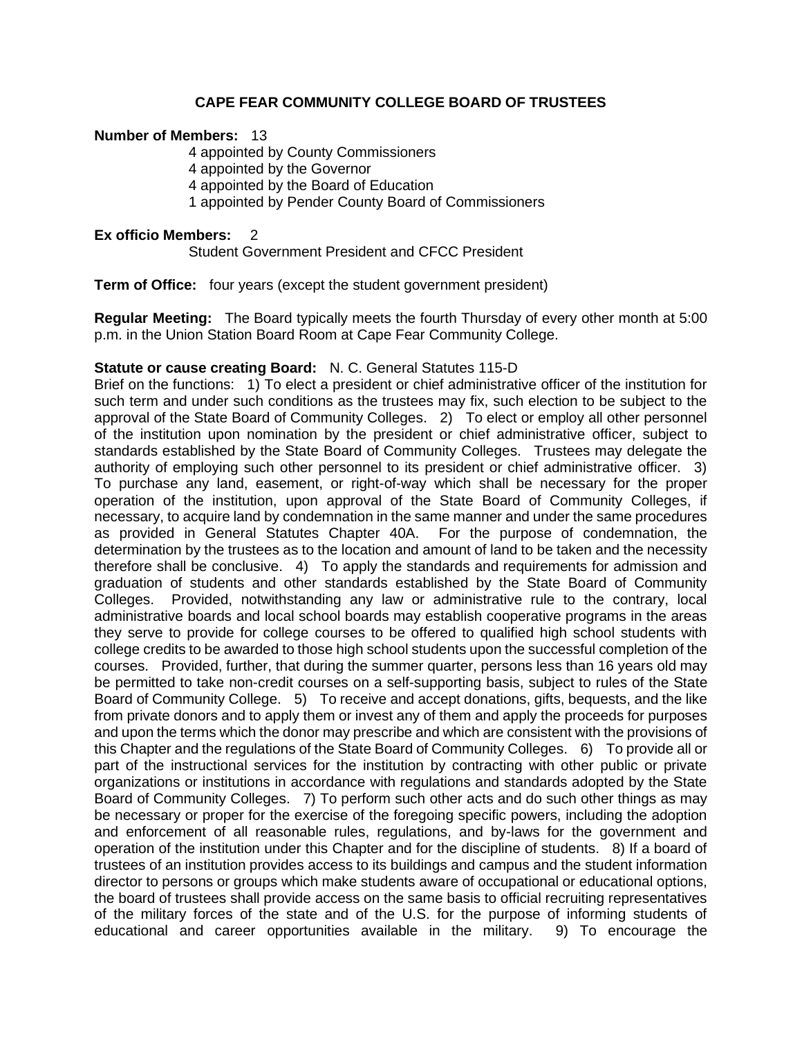## **CAPE FEAR COMMUNITY COLLEGE BOARD OF TRUSTEES**

#### **Number of Members:** 13

4 appointed by County Commissioners 4 appointed by the Governor 4 appointed by the Board of Education 1 appointed by Pender County Board of Commissioners

#### **Ex officio Members:** 2

Student Government President and CFCC President

**Term of Office:** four years (except the student government president)

**Regular Meeting:** The Board typically meets the fourth Thursday of every other month at 5:00 p.m. in the Union Station Board Room at Cape Fear Community College.

### **Statute or cause creating Board:** N. C. General Statutes 115-D

Brief on the functions: 1) To elect a president or chief administrative officer of the institution for such term and under such conditions as the trustees may fix, such election to be subject to the approval of the State Board of Community Colleges. 2) To elect or employ all other personnel of the institution upon nomination by the president or chief administrative officer, subject to standards established by the State Board of Community Colleges. Trustees may delegate the authority of employing such other personnel to its president or chief administrative officer. 3) To purchase any land, easement, or right-of-way which shall be necessary for the proper operation of the institution, upon approval of the State Board of Community Colleges, if necessary, to acquire land by condemnation in the same manner and under the same procedures as provided in General Statutes Chapter 40A. For the purpose of condemnation, the determination by the trustees as to the location and amount of land to be taken and the necessity therefore shall be conclusive. 4) To apply the standards and requirements for admission and graduation of students and other standards established by the State Board of Community Colleges. Provided, notwithstanding any law or administrative rule to the contrary, local administrative boards and local school boards may establish cooperative programs in the areas they serve to provide for college courses to be offered to qualified high school students with college credits to be awarded to those high school students upon the successful completion of the courses. Provided, further, that during the summer quarter, persons less than 16 years old may be permitted to take non-credit courses on a self-supporting basis, subject to rules of the State Board of Community College. 5) To receive and accept donations, gifts, bequests, and the like from private donors and to apply them or invest any of them and apply the proceeds for purposes and upon the terms which the donor may prescribe and which are consistent with the provisions of this Chapter and the regulations of the State Board of Community Colleges. 6) To provide all or part of the instructional services for the institution by contracting with other public or private organizations or institutions in accordance with regulations and standards adopted by the State Board of Community Colleges. 7) To perform such other acts and do such other things as may be necessary or proper for the exercise of the foregoing specific powers, including the adoption and enforcement of all reasonable rules, regulations, and by-laws for the government and operation of the institution under this Chapter and for the discipline of students. 8) If a board of trustees of an institution provides access to its buildings and campus and the student information director to persons or groups which make students aware of occupational or educational options, the board of trustees shall provide access on the same basis to official recruiting representatives of the military forces of the state and of the U.S. for the purpose of informing students of educational and career opportunities available in the military. 9) To encourage the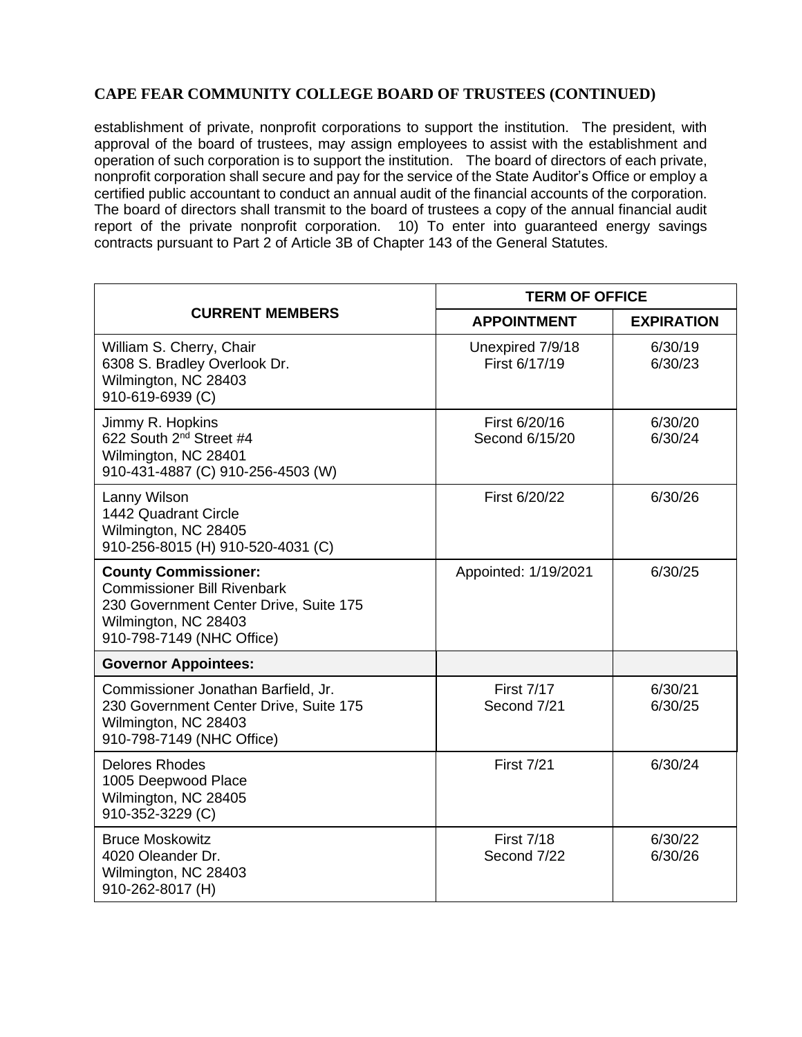# **CAPE FEAR COMMUNITY COLLEGE BOARD OF TRUSTEES (CONTINUED)**

establishment of private, nonprofit corporations to support the institution. The president, with approval of the board of trustees, may assign employees to assist with the establishment and operation of such corporation is to support the institution. The board of directors of each private, nonprofit corporation shall secure and pay for the service of the State Auditor's Office or employ a certified public accountant to conduct an annual audit of the financial accounts of the corporation. The board of directors shall transmit to the board of trustees a copy of the annual financial audit report of the private nonprofit corporation. 10) To enter into guaranteed energy savings contracts pursuant to Part 2 of Article 3B of Chapter 143 of the General Statutes.

| <b>CURRENT MEMBERS</b>                                                                                                                                           | <b>TERM OF OFFICE</b>             |                    |
|------------------------------------------------------------------------------------------------------------------------------------------------------------------|-----------------------------------|--------------------|
|                                                                                                                                                                  | <b>APPOINTMENT</b>                | <b>EXPIRATION</b>  |
| William S. Cherry, Chair<br>6308 S. Bradley Overlook Dr.<br>Wilmington, NC 28403<br>910-619-6939 (C)                                                             | Unexpired 7/9/18<br>First 6/17/19 | 6/30/19<br>6/30/23 |
| Jimmy R. Hopkins<br>622 South 2 <sup>nd</sup> Street #4<br>Wilmington, NC 28401<br>910-431-4887 (C) 910-256-4503 (W)                                             | First 6/20/16<br>Second 6/15/20   | 6/30/20<br>6/30/24 |
| Lanny Wilson<br>1442 Quadrant Circle<br>Wilmington, NC 28405<br>910-256-8015 (H) 910-520-4031 (C)                                                                | First 6/20/22                     | 6/30/26            |
| <b>County Commissioner:</b><br><b>Commissioner Bill Rivenbark</b><br>230 Government Center Drive, Suite 175<br>Wilmington, NC 28403<br>910-798-7149 (NHC Office) | Appointed: 1/19/2021              | 6/30/25            |
| <b>Governor Appointees:</b>                                                                                                                                      |                                   |                    |
| Commissioner Jonathan Barfield, Jr.<br>230 Government Center Drive, Suite 175<br>Wilmington, NC 28403<br>910-798-7149 (NHC Office)                               | <b>First 7/17</b><br>Second 7/21  | 6/30/21<br>6/30/25 |
| <b>Delores Rhodes</b><br>1005 Deepwood Place<br>Wilmington, NC 28405<br>910-352-3229 (C)                                                                         | <b>First 7/21</b>                 | 6/30/24            |
| <b>Bruce Moskowitz</b><br>4020 Oleander Dr.<br>Wilmington, NC 28403<br>910-262-8017 (H)                                                                          | <b>First 7/18</b><br>Second 7/22  | 6/30/22<br>6/30/26 |